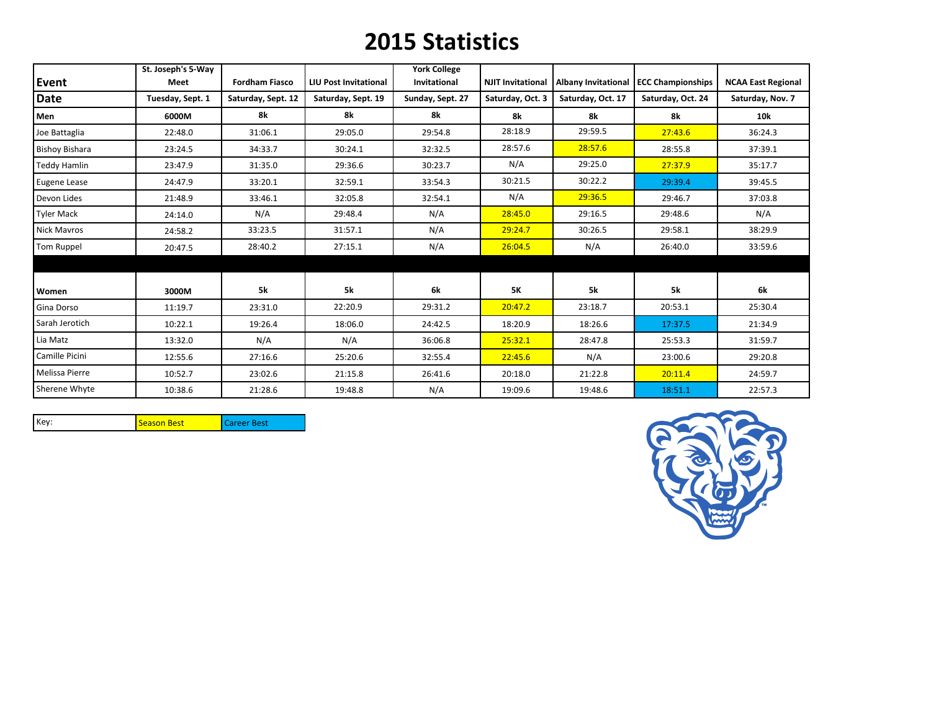## **2015 Statistics**

|                       | St. Joseph's 5-Way |                       |                              | <b>York College</b> |                          |                   |                                         |                           |
|-----------------------|--------------------|-----------------------|------------------------------|---------------------|--------------------------|-------------------|-----------------------------------------|---------------------------|
| Event                 | Meet               | <b>Fordham Fiasco</b> | <b>LIU Post Invitational</b> | Invitational        | <b>NJIT Invitational</b> |                   | Albany Invitational   ECC Championships | <b>NCAA East Regional</b> |
| <b>Date</b>           | Tuesday, Sept. 1   | Saturday, Sept. 12    | Saturday, Sept. 19           | Sunday, Sept. 27    | Saturday, Oct. 3         | Saturday, Oct. 17 | Saturday, Oct. 24                       | Saturday, Nov. 7          |
| Men                   | 6000M              | 8k                    | 8k                           | 8k                  | 8k                       | 8k                | 8k                                      | <b>10k</b>                |
| Joe Battaglia         | 22:48.0            | 31:06.1               | 29:05.0                      | 29:54.8             | 28:18.9                  | 29:59.5           | 27:43.6                                 | 36:24.3                   |
| <b>Bishoy Bishara</b> | 23:24.5            | 34:33.7               | 30:24.1                      | 32:32.5             | 28:57.6                  | 28:57.6           | 28:55.8                                 | 37:39.1                   |
| <b>Teddy Hamlin</b>   | 23:47.9            | 31:35.0               | 29:36.6                      | 30:23.7             | N/A                      | 29:25.0           | 27:37.9                                 | 35:17.7                   |
| Eugene Lease          | 24:47.9            | 33:20.1               | 32:59.1                      | 33:54.3             | 30:21.5                  | 30:22.2           | 29:39.4                                 | 39:45.5                   |
| Devon Lides           | 21:48.9            | 33:46.1               | 32:05.8                      | 32:54.1             | N/A                      | 29:36.5           | 29:46.7                                 | 37:03.8                   |
| <b>Tyler Mack</b>     | 24:14.0            | N/A                   | 29:48.4                      | N/A                 | 28:45.0                  | 29:16.5           | 29:48.6                                 | N/A                       |
| <b>Nick Mavros</b>    | 24:58.2            | 33:23.5               | 31:57.1                      | N/A                 | 29:24.7                  | 30:26.5           | 29:58.1                                 | 38:29.9                   |
| Tom Ruppel            | 20:47.5            | 28:40.2               | 27:15.1                      | N/A                 | 26:04.5                  | N/A               | 26:40.0                                 | 33:59.6                   |
|                       |                    |                       |                              |                     |                          |                   |                                         |                           |
| Women                 | 3000M              | 5k                    | <b>5k</b>                    | 6k                  | 5K                       | 5k                | <b>5k</b>                               | 6k                        |
| Gina Dorso            | 11:19.7            | 23:31.0               | 22:20.9                      | 29:31.2             | 20:47.2                  | 23:18.7           | 20:53.1                                 | 25:30.4                   |
| Sarah Jerotich        | 10:22.1            | 19:26.4               | 18:06.0                      | 24:42.5             | 18:20.9                  | 18:26.6           | 17:37.5                                 | 21:34.9                   |
| Lia Matz              | 13:32.0            | N/A                   | N/A                          | 36:06.8             | 25:32.1                  | 28:47.8           | 25:53.3                                 | 31:59.7                   |
| Camille Picini        | 12:55.6            | 27:16.6               | 25:20.6                      | 32:55.4             | 22:45.6                  | N/A               | 23:00.6                                 | 29:20.8                   |
| Melissa Pierre        | 10:52.7            | 23:02.6               | 21:15.8                      | 26:41.6             | 20:18.0                  | 21:22.8           | 20:11.4                                 | 24:59.7                   |
| Sherene Whyte         | 10:38.6            | 21:28.6               | 19:48.8                      | N/A                 | 19:09.6                  | 19:48.6           | 18:51.1                                 | 22:57.3                   |

Key: Season Best Career Best